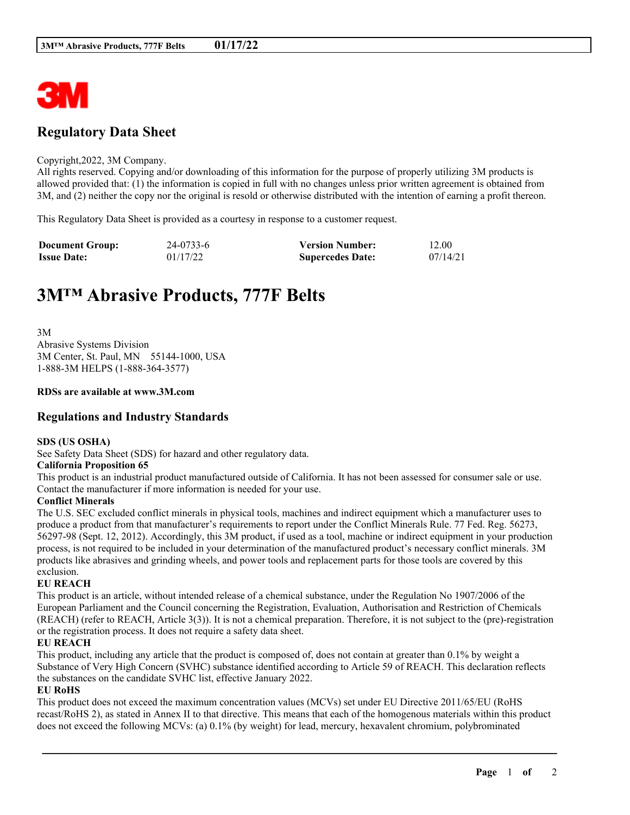

# **Regulatory Data Sheet**

#### Copyright,2022, 3M Company.

All rights reserved. Copying and/or downloading of this information for the purpose of properly utilizing 3M products is allowed provided that: (1) the information is copied in full with no changes unless prior written agreement is obtained from 3M, and (2) neither the copy nor the original is resold or otherwise distributed with the intention of earning a profit thereon.

This Regulatory Data Sheet is provided as a courtesy in response to a customer request.

| <b>Document Group:</b> | 24-0733-6 | <b>Version Number:</b>  | 12.00    |
|------------------------|-----------|-------------------------|----------|
| <b>Issue Date:</b>     | 01/17/22  | <b>Supercedes Date:</b> | 07/14/21 |

# **3M™ Abrasive Products, 777F Belts**

3M Abrasive Systems Division 3M Center, St. Paul, MN 55144-1000, USA 1-888-3M HELPS (1-888-364-3577)

#### **RDSs are available at www.3M.com**

## **Regulations and Industry Standards**

#### **SDS (US OSHA)**

See Safety Data Sheet (SDS) for hazard and other regulatory data.

#### **California Proposition 65**

This product is an industrial product manufactured outside of California. It has not been assessed for consumer sale or use. Contact the manufacturer if more information is needed for your use.

#### **Conflict Minerals**

The U.S. SEC excluded conflict minerals in physical tools, machines and indirect equipment which a manufacturer uses to produce a product from that manufacturer's requirements to report under the Conflict Minerals Rule. 77 Fed. Reg. 56273, 56297-98 (Sept. 12, 2012). Accordingly, this 3M product, if used as a tool, machine or indirect equipment in your production process, is not required to be included in your determination of the manufactured product's necessary conflict minerals. 3M products like abrasives and grinding wheels, and power tools and replacement parts for those tools are covered by this exclusion.

#### **EU REACH**

This product is an article, without intended release of a chemical substance, under the Regulation No 1907/2006 of the European Parliament and the Council concerning the Registration, Evaluation, Authorisation and Restriction of Chemicals (REACH) (refer to REACH, Article 3(3)). It is not a chemical preparation. Therefore, it is not subject to the (pre)-registration or the registration process. It does not require a safety data sheet.

#### **EU REACH**

This product, including any article that the product is composed of, does not contain at greater than 0.1% by weight a Substance of Very High Concern (SVHC) substance identified according to Article 59 of REACH. This declaration reflects the substances on the candidate SVHC list, effective January 2022.

#### **EU RoHS**

This product does not exceed the maximum concentration values (MCVs) set under EU Directive 2011/65/EU (RoHS recast/RoHS 2), as stated in Annex II to that directive. This means that each of the homogenous materials within this product does not exceed the following MCVs: (a) 0.1% (by weight) for lead, mercury, hexavalent chromium, polybrominated

\_\_\_\_\_\_\_\_\_\_\_\_\_\_\_\_\_\_\_\_\_\_\_\_\_\_\_\_\_\_\_\_\_\_\_\_\_\_\_\_\_\_\_\_\_\_\_\_\_\_\_\_\_\_\_\_\_\_\_\_\_\_\_\_\_\_\_\_\_\_\_\_\_\_\_\_\_\_\_\_\_\_\_\_\_\_\_\_\_\_